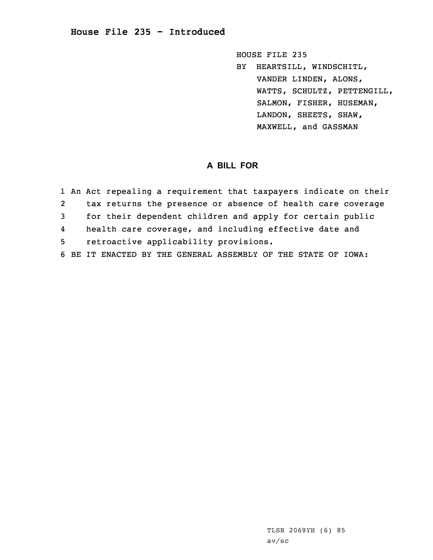## **House File 235 - Introduced**

HOUSE FILE 235 BY HEARTSILL, WINDSCHITL, VANDER LINDEN, ALONS, WATTS, SCHULTZ, PETTENGILL, SALMON, FISHER, HUSEMAN, LANDON, SHEETS, SHAW, MAXWELL, and GASSMAN

## **A BILL FOR**

|   | 1 An Act repealing a requirement that taxpayers indicate on their |
|---|-------------------------------------------------------------------|
| 2 | tax returns the presence or absence of health care coverage       |
| 3 | for their dependent children and apply for certain public         |
| 4 | health care coverage, and including effective date and            |
| 5 | retroactive applicability provisions.                             |
|   | 6 BE IT ENACTED BY THE GENERAL ASSEMBLY OF THE STATE OF IOWA:     |

TLSB 2069YH (6) 85 av/sc